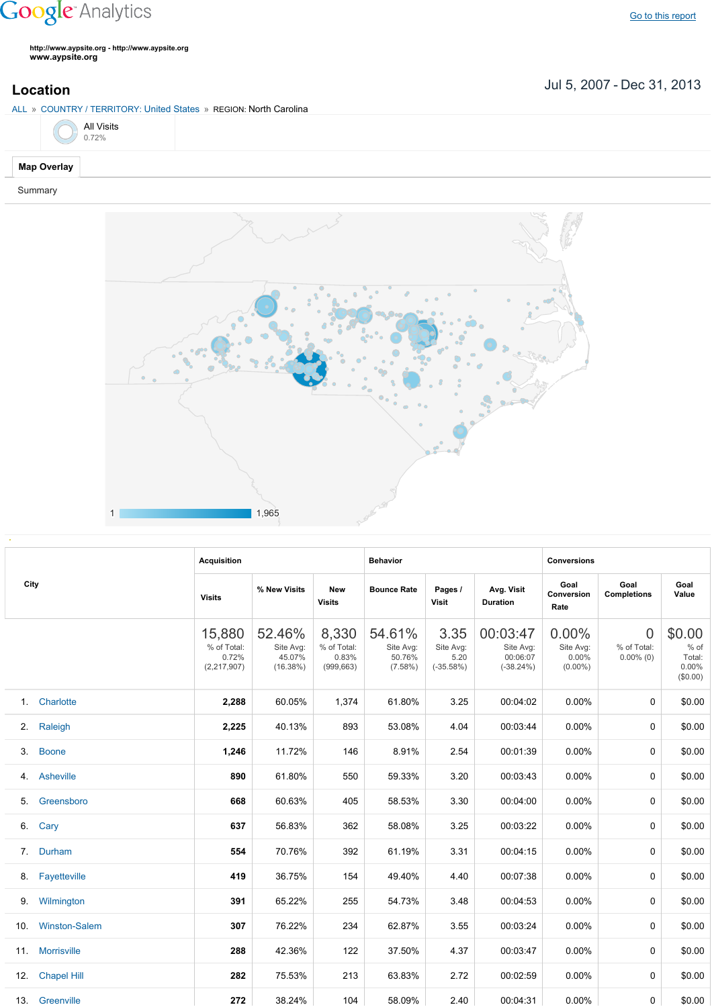## **Google** Analytics

**http://www.aypsite.org http://www.aypsite.org www.aypsite.org**

Jul 5, 2007 Dec 31, 2013 **Location**

ALL » COUNTRY / TERRITORY: United States » REGION: North Carolina



Summary



| City |                      | <b>Acquisition</b>                            |                                           |                                             | <b>Behavior</b>                             |                                          |                                                  | <b>Conversions</b>                           |                                                                                                                                                                                    |                                               |  |
|------|----------------------|-----------------------------------------------|-------------------------------------------|---------------------------------------------|---------------------------------------------|------------------------------------------|--------------------------------------------------|----------------------------------------------|------------------------------------------------------------------------------------------------------------------------------------------------------------------------------------|-----------------------------------------------|--|
|      |                      | <b>Visits</b>                                 | % New Visits                              | <b>New</b><br><b>Visits</b>                 | <b>Bounce Rate</b>                          | Pages /<br><b>Visit</b>                  | Avg. Visit<br><b>Duration</b>                    | Goal<br>Conversion<br>Rate                   | Goal<br><b>Completions</b><br>$\Omega$<br>% of Total:<br>$0.00\%$ (0)<br>$\Omega$<br>$\Omega$<br>0<br>$\Omega$<br>0<br>$\Omega$<br>0<br>$\Omega$<br>$\Omega$<br>0<br>$\Omega$<br>0 | Goal<br>Value                                 |  |
|      |                      | 15,880<br>% of Total:<br>0.72%<br>(2,217,907) | 52.46%<br>Site Avg:<br>45.07%<br>(16.38%) | 8,330<br>% of Total:<br>0.83%<br>(999, 663) | 54.61%<br>Site Avg:<br>50.76%<br>$(7.58\%)$ | 3.35<br>Site Avg:<br>5.20<br>$(-35.58%)$ | 00:03:47<br>Site Avg:<br>00:06:07<br>$(-38.24%)$ | $0.00\%$<br>Site Avg:<br>0.00%<br>$(0.00\%)$ |                                                                                                                                                                                    | \$0.00<br>% of<br>Total:<br>0.00%<br>(\$0.00) |  |
| 1.   | Charlotte            | 2,288                                         | 60.05%                                    | 1,374                                       | 61.80%                                      | 3.25                                     | 00:04:02                                         | $0.00\%$                                     |                                                                                                                                                                                    | \$0.00                                        |  |
| 2.   | Raleigh              | 2,225                                         | 40.13%                                    | 893                                         | 53.08%                                      | 4.04                                     | 00:03:44                                         | $0.00\%$                                     |                                                                                                                                                                                    | \$0.00                                        |  |
| 3.   | <b>Boone</b>         | 1,246                                         | 11.72%                                    | 146                                         | 8.91%                                       | 2.54                                     | 00:01:39                                         | 0.00%                                        |                                                                                                                                                                                    | \$0.00                                        |  |
| 4.   | Asheville            | 890                                           | 61.80%                                    | 550                                         | 59.33%                                      | 3.20                                     | 00:03:43                                         | $0.00\%$                                     |                                                                                                                                                                                    | \$0.00                                        |  |
| 5.   | Greensboro           | 668                                           | 60.63%                                    | 405                                         | 58.53%                                      | 3.30                                     | 00:04:00                                         | 0.00%                                        |                                                                                                                                                                                    | \$0.00                                        |  |
| 6.   | Cary                 | 637                                           | 56.83%                                    | 362                                         | 58.08%                                      | 3.25                                     | 00:03:22                                         | $0.00\%$                                     |                                                                                                                                                                                    | \$0.00                                        |  |
| 7.   | Durham               | 554                                           | 70.76%                                    | 392                                         | 61.19%                                      | 3.31                                     | 00:04:15                                         | 0.00%                                        |                                                                                                                                                                                    | \$0.00                                        |  |
| 8.   | Fayetteville         | 419                                           | 36.75%                                    | 154                                         | 49.40%                                      | 4.40                                     | 00:07:38                                         | 0.00%                                        |                                                                                                                                                                                    | \$0.00                                        |  |
| 9.   | Wilmington           | 391                                           | 65.22%                                    | 255                                         | 54.73%                                      | 3.48                                     | 00:04:53                                         | 0.00%                                        |                                                                                                                                                                                    | \$0.00                                        |  |
| 10.  | <b>Winston-Salem</b> | 307                                           | 76.22%                                    | 234                                         | 62.87%                                      | 3.55                                     | 00:03:24                                         | $0.00\%$                                     |                                                                                                                                                                                    | \$0.00                                        |  |
| 11.  | <b>Morrisville</b>   | 288                                           | 42.36%                                    | 122                                         | 37.50%                                      | 4.37                                     | 00:03:47                                         | 0.00%                                        |                                                                                                                                                                                    | \$0.00                                        |  |
| 12.  | <b>Chapel Hill</b>   | 282                                           | 75.53%                                    | 213                                         | 63.83%                                      | 2.72                                     | 00:02:59                                         | 0.00%                                        |                                                                                                                                                                                    | \$0.00                                        |  |
| 13.  | Greenville           | 272                                           | 38.24%                                    | 104                                         | 58.09%                                      | 2.40                                     | 00:04:31                                         | 0.00%                                        | 0                                                                                                                                                                                  | \$0.00                                        |  |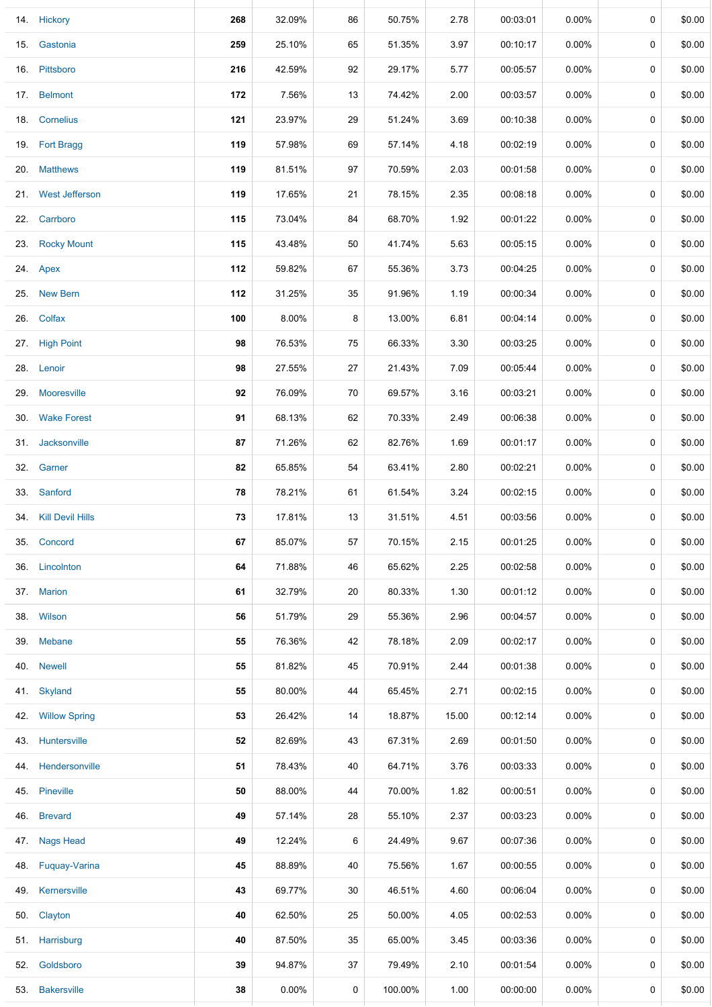|     | 14. Hickory          | 268 | 32.09%   | 86 | 50.75%  | 2.78  | 00:03:01 | 0.00%    | 0 | \$0.00 |
|-----|----------------------|-----|----------|----|---------|-------|----------|----------|---|--------|
|     | 15. Gastonia         | 259 | 25.10%   | 65 | 51.35%  | 3.97  | 00:10:17 | $0.00\%$ | 0 | \$0.00 |
|     | 16. Pittsboro        | 216 | 42.59%   | 92 | 29.17%  | 5.77  | 00:05:57 | $0.00\%$ | 0 | \$0.00 |
|     | 17. Belmont          | 172 | 7.56%    | 13 | 74.42%  | 2.00  | 00:03:57 | $0.00\%$ | 0 | \$0.00 |
|     | 18. Cornelius        | 121 | 23.97%   | 29 | 51.24%  | 3.69  | 00:10:38 | $0.00\%$ | 0 | \$0.00 |
|     | 19. Fort Bragg       | 119 | 57.98%   | 69 | 57.14%  | 4.18  | 00:02:19 | $0.00\%$ | 0 | \$0.00 |
|     | 20. Matthews         | 119 | 81.51%   | 97 | 70.59%  | 2.03  | 00:01:58 | $0.00\%$ | 0 | \$0.00 |
|     | 21. West Jefferson   | 119 | 17.65%   | 21 | 78.15%  | 2.35  | 00:08:18 | $0.00\%$ | 0 | \$0.00 |
|     | 22. Carrboro         | 115 | 73.04%   | 84 | 68.70%  | 1.92  | 00:01:22 | $0.00\%$ | 0 | \$0.00 |
|     | 23. Rocky Mount      | 115 | 43.48%   | 50 | 41.74%  | 5.63  | 00:05:15 | 0.00%    | 0 | \$0.00 |
|     | 24. Apex             | 112 | 59.82%   | 67 | 55.36%  | 3.73  | 00:04:25 | 0.00%    | 0 | \$0.00 |
|     | 25. New Bern         | 112 | 31.25%   | 35 | 91.96%  | 1.19  | 00:00:34 | $0.00\%$ | 0 | \$0.00 |
|     | 26. Colfax           | 100 | 8.00%    | 8  | 13.00%  | 6.81  | 00:04:14 | $0.00\%$ | 0 | \$0.00 |
|     | 27. High Point       | 98  | 76.53%   | 75 | 66.33%  | 3.30  | 00:03:25 | $0.00\%$ | 0 | \$0.00 |
|     | 28. Lenoir           | 98  | 27.55%   | 27 | 21.43%  | 7.09  | 00:05:44 | $0.00\%$ | 0 | \$0.00 |
|     | 29. Mooresville      | 92  | 76.09%   | 70 | 69.57%  | 3.16  | 00:03:21 | $0.00\%$ | 0 | \$0.00 |
|     | 30. Wake Forest      | 91  | 68.13%   | 62 | 70.33%  | 2.49  | 00:06:38 | $0.00\%$ | 0 | \$0.00 |
|     | 31. Jacksonville     | 87  | 71.26%   | 62 | 82.76%  | 1.69  | 00:01:17 | $0.00\%$ | 0 | \$0.00 |
|     | 32. Garner           | 82  | 65.85%   | 54 | 63.41%  | 2.80  | 00:02:21 | $0.00\%$ | 0 | \$0.00 |
|     | 33. Sanford          | 78  | 78.21%   | 61 | 61.54%  | 3.24  | 00:02:15 | $0.00\%$ | 0 | \$0.00 |
|     | 34. Kill Devil Hills | 73  | 17.81%   | 13 | 31.51%  | 4.51  | 00:03:56 | $0.00\%$ | 0 | \$0.00 |
|     | 35. Concord          | 67  | 85.07%   | 57 | 70.15%  | 2.15  | 00:01:25 | $0.00\%$ | 0 | \$0.00 |
| 36. | Lincolnton           | 64  | 71.88%   | 46 | 65.62%  | 2.25  | 00:02:58 | $0.00\%$ | 0 | \$0.00 |
|     | 37. Marion           | 61  | 32.79%   | 20 | 80.33%  | 1.30  | 00:01:12 | $0.00\%$ | 0 | \$0.00 |
|     | 38. Wilson           | 56  | 51.79%   | 29 | 55.36%  | 2.96  | 00:04:57 | $0.00\%$ | 0 | \$0.00 |
|     | 39. Mebane           | 55  | 76.36%   | 42 | 78.18%  | 2.09  | 00:02:17 | $0.00\%$ | 0 | \$0.00 |
| 40. | <b>Newell</b>        | 55  | 81.82%   | 45 | 70.91%  | 2.44  | 00:01:38 | $0.00\%$ | 0 | \$0.00 |
| 41. | Skyland              | 55  | 80.00%   | 44 | 65.45%  | 2.71  | 00:02:15 | $0.00\%$ | 0 | \$0.00 |
| 42. | <b>Willow Spring</b> | 53  | 26.42%   | 14 | 18.87%  | 15.00 | 00:12:14 | $0.00\%$ | 0 | \$0.00 |
|     | 43. Huntersville     | 52  | 82.69%   | 43 | 67.31%  | 2.69  | 00:01:50 | $0.00\%$ | 0 | \$0.00 |
| 44. | Hendersonville       | 51  | 78.43%   | 40 | 64.71%  | 3.76  | 00:03:33 | $0.00\%$ | 0 | \$0.00 |
|     | 45. Pineville        | 50  | 88.00%   | 44 | 70.00%  | 1.82  | 00:00:51 | $0.00\%$ | 0 | \$0.00 |
| 46. | <b>Brevard</b>       | 49  | 57.14%   | 28 | 55.10%  | 2.37  | 00:03:23 | $0.00\%$ | 0 | \$0.00 |
|     | 47. Nags Head        | 49  | 12.24%   | 6  | 24.49%  | 9.67  | 00:07:36 | $0.00\%$ | 0 | \$0.00 |
| 48. | Fuquay-Varina        | 45  | 88.89%   | 40 | 75.56%  | 1.67  | 00:00:55 | $0.00\%$ | 0 | \$0.00 |
| 49. | Kernersville         | 43  | 69.77%   | 30 | 46.51%  | 4.60  | 00:06:04 | $0.00\%$ | 0 | \$0.00 |
| 50. | Clayton              | 40  | 62.50%   | 25 | 50.00%  | 4.05  | 00:02:53 | $0.00\%$ | 0 | \$0.00 |
|     | 51. Harrisburg       | 40  | 87.50%   | 35 | 65.00%  | 3.45  | 00:03:36 | $0.00\%$ | 0 | \$0.00 |
| 52. | Goldsboro            | 39  | 94.87%   | 37 | 79.49%  | 2.10  | 00:01:54 | $0.00\%$ | 0 | \$0.00 |
| 53. | <b>Bakersville</b>   | 38  | $0.00\%$ | 0  | 100.00% | 1.00  | 00:00:00 | $0.00\%$ | 0 | \$0.00 |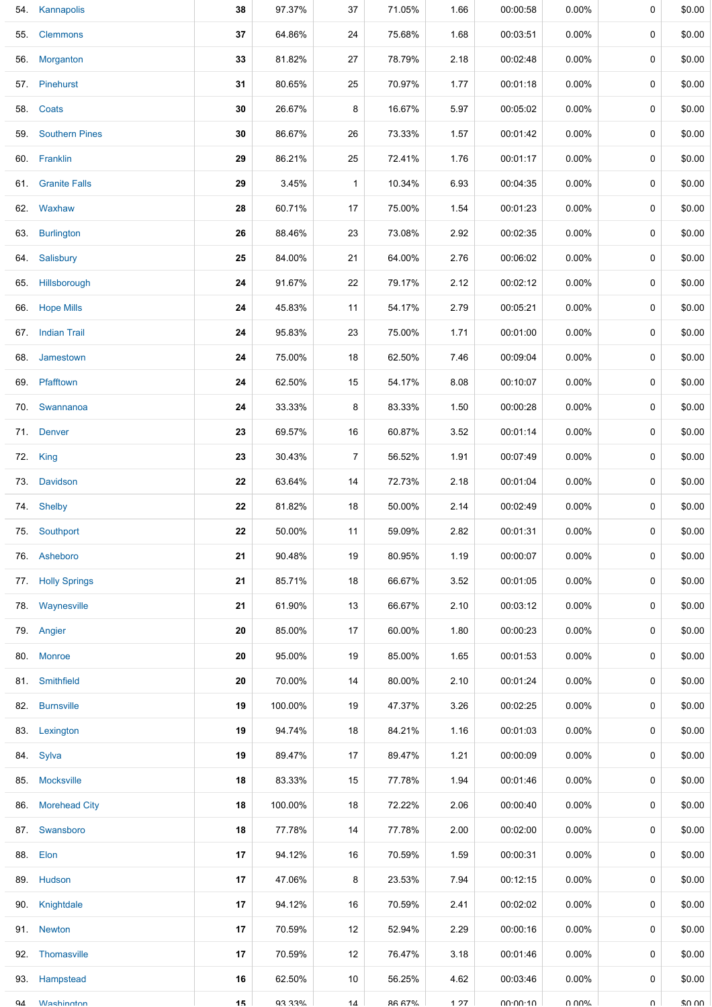|     | 54. Kannapolis        | 38 | 97.37%  | 37           | 71.05%       | 1.66 | 00:00:58 | $0.00\%$ | 0        | \$0.00 |
|-----|-----------------------|----|---------|--------------|--------------|------|----------|----------|----------|--------|
| 55. | <b>Clemmons</b>       | 37 | 64.86%  | 24           | 75.68%       | 1.68 | 00:03:51 | $0.00\%$ | 0        | \$0.00 |
| 56. | Morganton             | 33 | 81.82%  | 27           | 78.79%       | 2.18 | 00:02:48 | $0.00\%$ | 0        | \$0.00 |
| 57. | Pinehurst             | 31 | 80.65%  | 25           | 70.97%       | 1.77 | 00:01:18 | $0.00\%$ | 0        | \$0.00 |
| 58. | Coats                 | 30 | 26.67%  | 8            | 16.67%       | 5.97 | 00:05:02 | $0.00\%$ | 0        | \$0.00 |
| 59. | <b>Southern Pines</b> | 30 | 86.67%  | 26           | 73.33%       | 1.57 | 00:01:42 | $0.00\%$ | 0        | \$0.00 |
|     | 60. Franklin          | 29 | 86.21%  | 25           | 72.41%       | 1.76 | 00:01:17 | $0.00\%$ | 0        | \$0.00 |
|     | 61. Granite Falls     | 29 | 3.45%   | $\mathbf{1}$ | 10.34%       | 6.93 | 00:04:35 | $0.00\%$ | 0        | \$0.00 |
|     | 62. Waxhaw            | 28 | 60.71%  | 17           | 75.00%       | 1.54 | 00:01:23 | $0.00\%$ | 0        | \$0.00 |
|     | 63. Burlington        | 26 | 88.46%  | 23           | 73.08%       | 2.92 | 00:02:35 | $0.00\%$ | 0        | \$0.00 |
| 64. | Salisbury             | 25 | 84.00%  | 21           | 64.00%       | 2.76 | 00:06:02 | $0.00\%$ | 0        | \$0.00 |
|     | 65. Hillsborough      | 24 | 91.67%  | 22           | 79.17%       | 2.12 | 00:02:12 | $0.00\%$ | 0        | \$0.00 |
|     | 66. Hope Mills        | 24 | 45.83%  | 11           | 54.17%       | 2.79 | 00:05:21 | $0.00\%$ | 0        | \$0.00 |
|     | 67. Indian Trail      | 24 | 95.83%  | 23           | 75.00%       | 1.71 | 00:01:00 | $0.00\%$ | 0        | \$0.00 |
| 68. | Jamestown             | 24 | 75.00%  | 18           | 62.50%       | 7.46 | 00:09:04 | $0.00\%$ | 0        | \$0.00 |
|     | 69. Pfafftown         | 24 | 62.50%  | 15           | 54.17%       | 8.08 | 00:10:07 | 0.00%    | 0        | \$0.00 |
| 70. | Swannanoa             | 24 | 33.33%  | 8            | 83.33%       | 1.50 | 00:00:28 | $0.00\%$ | 0        | \$0.00 |
|     | 71. Denver            | 23 | 69.57%  | 16           | 60.87%       | 3.52 | 00:01:14 | $0.00\%$ | 0        | \$0.00 |
| 72. | King                  | 23 | 30.43%  | 7            | 56.52%       | 1.91 | 00:07:49 | $0.00\%$ | 0        | \$0.00 |
| 73. | Davidson              | 22 | 63.64%  | 14           | 72.73%       | 2.18 | 00:01:04 | $0.00\%$ | 0        | \$0.00 |
|     | 74. Shelby            | 22 | 81.82%  | 18           | 50.00%       | 2.14 | 00:02:49 | $0.00\%$ | 0        | \$0.00 |
| 75. | Southport             | 22 | 50.00%  | 11           | 59.09%       | 2.82 | 00:01:31 | 0.00%    | 0        | \$0.00 |
|     | 76. Asheboro          | 21 | 90.48%  | 19           | 80.95%       | 1.19 | 00:00:07 | $0.00\%$ | 0        | \$0.00 |
|     | 77. Holly Springs     | 21 | 85.71%  | 18           | 66.67%       | 3.52 | 00:01:05 | $0.00\%$ | 0        | \$0.00 |
|     | 78. Waynesville       | 21 | 61.90%  | 13           | 66.67%       | 2.10 | 00:03:12 | $0.00\%$ | 0        | \$0.00 |
|     | 79. Angier            | 20 | 85.00%  | 17           | 60.00%       | 1.80 | 00:00:23 | $0.00\%$ | 0        | \$0.00 |
|     | 80. Monroe            | 20 | 95.00%  | 19           | 85.00%       | 1.65 | 00:01:53 | $0.00\%$ | 0        | \$0.00 |
|     | 81. Smithfield        | 20 | 70.00%  | 14           | 80.00%       | 2.10 | 00:01:24 | $0.00\%$ | 0        | \$0.00 |
|     | 82. Burnsville        | 19 | 100.00% | 19           | 47.37%       | 3.26 | 00:02:25 | $0.00\%$ | 0        | \$0.00 |
| 83. | Lexington             | 19 | 94.74%  | 18           | 84.21%       | 1.16 | 00:01:03 | $0.00\%$ | 0        | \$0.00 |
|     | 84. Sylva             | 19 | 89.47%  | 17           | 89.47%       | 1.21 | 00:00:09 | $0.00\%$ | 0        | \$0.00 |
|     | 85. Mocksville        | 18 | 83.33%  | 15           | 77.78%       | 1.94 | 00:01:46 | $0.00\%$ | 0        | \$0.00 |
|     | 86. Morehead City     | 18 | 100.00% | 18           | 72.22%       | 2.06 | 00:00:40 | $0.00\%$ | 0        | \$0.00 |
| 87. | Swansboro             | 18 | 77.78%  | 14           | 77.78%       | 2.00 | 00:02:00 | $0.00\%$ | 0        | \$0.00 |
|     | 88. Elon              | 17 | 94.12%  | 16           | 70.59%       | 1.59 | 00:00:31 | $0.00\%$ | 0        | \$0.00 |
|     | 89. Hudson            | 17 | 47.06%  | 8            | 23.53%       | 7.94 | 00:12:15 | $0.00\%$ | 0        | \$0.00 |
|     | 90. Knightdale        | 17 | 94.12%  | 16           | 70.59%       | 2.41 | 00:02:02 | $0.00\%$ | 0        | \$0.00 |
|     | 91. Newton            | 17 | 70.59%  | 12           | 52.94%       | 2.29 | 00:00:16 | $0.00\%$ | 0        | \$0.00 |
|     | 92. Thomasville       | 17 | 70.59%  | 12           | 76.47%       | 3.18 | 00:01:46 | $0.00\%$ | 0        | \$0.00 |
|     | 93. Hampstead         | 16 | 62.50%  | 10           | 56.25%       | 4.62 | 00:03:46 | $0.00\%$ | 0        | \$0.00 |
| Q4  | <b>Washington</b>     | 15 | 03 33%  | 14           | <b>8667%</b> | 1 27 | 00.00.10 | በ በበ%    | $\Omega$ | ደበ በበ  |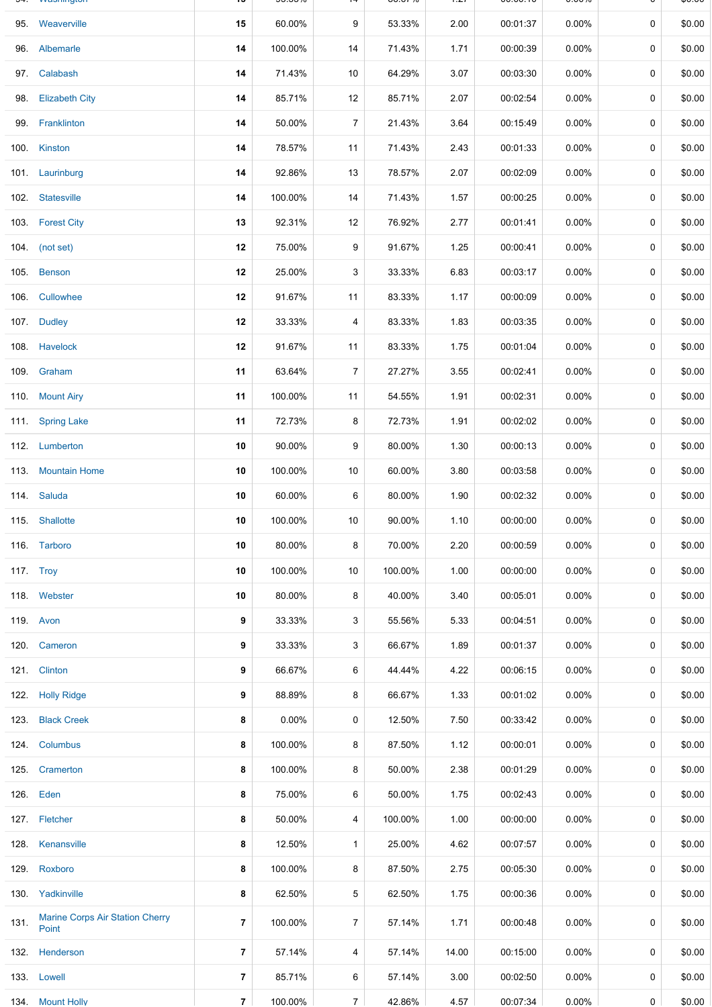|      | <u>vvasiniylori</u>                      |    | <u>JJ.JJ70</u> |                | <b>00.0770</b> | $\sim$ | 00.00.10 | <b>0.0070</b> |   | ψυ.υυ  |
|------|------------------------------------------|----|----------------|----------------|----------------|--------|----------|---------------|---|--------|
|      | 95. Weaverville                          | 15 | 60.00%         | 9              | 53.33%         | 2.00   | 00:01:37 | 0.00%         | 0 | \$0.00 |
|      | 96. Albemarle                            | 14 | 100.00%        | 14             | 71.43%         | 1.71   | 00:00:39 | $0.00\%$      | 0 | \$0.00 |
|      | 97. Calabash                             | 14 | 71.43%         | 10             | 64.29%         | 3.07   | 00:03:30 | $0.00\%$      | 0 | \$0.00 |
|      | 98. Elizabeth City                       | 14 | 85.71%         | 12             | 85.71%         | 2.07   | 00:02:54 | $0.00\%$      | 0 | \$0.00 |
|      | 99. Franklinton                          | 14 | 50.00%         | $\overline{7}$ | 21.43%         | 3.64   | 00:15:49 | $0.00\%$      | 0 | \$0.00 |
|      | 100. Kinston                             | 14 | 78.57%         | 11             | 71.43%         | 2.43   | 00:01:33 | $0.00\%$      | 0 | \$0.00 |
|      | 101. Laurinburg                          | 14 | 92.86%         | 13             | 78.57%         | 2.07   | 00:02:09 | $0.00\%$      | 0 | \$0.00 |
|      | 102. Statesville                         | 14 | 100.00%        | 14             | 71.43%         | 1.57   | 00:00:25 | $0.00\%$      | 0 | \$0.00 |
|      | 103. Forest City                         | 13 | 92.31%         | 12             | 76.92%         | 2.77   | 00:01:41 | $0.00\%$      | 0 | \$0.00 |
|      | 104. (not set)                           | 12 | 75.00%         | 9              | 91.67%         | 1.25   | 00:00:41 | $0.00\%$      | 0 | \$0.00 |
|      | 105. Benson                              | 12 | 25.00%         | 3              | 33.33%         | 6.83   | 00:03:17 | $0.00\%$      | 0 | \$0.00 |
|      | 106. Cullowhee                           | 12 | 91.67%         | 11             | 83.33%         | 1.17   | 00:00:09 | $0.00\%$      | 0 | \$0.00 |
|      | 107. Dudley                              | 12 | 33.33%         | 4              | 83.33%         | 1.83   | 00:03:35 | $0.00\%$      | 0 | \$0.00 |
|      | 108. Havelock                            | 12 | 91.67%         | 11             | 83.33%         | 1.75   | 00:01:04 | $0.00\%$      | 0 | \$0.00 |
|      | 109. Graham                              | 11 | 63.64%         | $\overline{7}$ | 27.27%         | 3.55   | 00:02:41 | $0.00\%$      | 0 | \$0.00 |
|      | 110. Mount Airy                          | 11 | 100.00%        | 11             | 54.55%         | 1.91   | 00:02:31 | $0.00\%$      | 0 | \$0.00 |
|      | 111. Spring Lake                         | 11 | 72.73%         | 8              | 72.73%         | 1.91   | 00:02:02 | 0.00%         | 0 | \$0.00 |
|      | 112. Lumberton                           | 10 | 90.00%         | 9              | 80.00%         | 1.30   | 00:00:13 | $0.00\%$      | 0 | \$0.00 |
|      | 113. Mountain Home                       | 10 | 100.00%        | 10             | 60.00%         | 3.80   | 00:03:58 | $0.00\%$      | 0 | \$0.00 |
|      | 114. Saluda                              | 10 | 60.00%         | 6              | 80.00%         | 1.90   | 00:02:32 | $0.00\%$      | 0 | \$0.00 |
|      | 115. Shallotte                           | 10 | 100.00%        | 10             | 90.00%         | 1.10   | 00:00:00 | 0.00%         | 0 | \$0.00 |
|      | 116. Tarboro                             | 10 | 80.00%         | 8              | 70.00%         | 2.20   | 00:00:59 | $0.00\%$      | 0 | \$0.00 |
|      | <b>117. Troy</b>                         | 10 | 100.00%        | 10             | 100.00%        | 1.00   | 00:00:00 | $0.00\%$      | 0 | \$0.00 |
|      | 118. Webster                             | 10 | 80.00%         | 8              | 40.00%         | 3.40   | 00:05:01 | $0.00\%$      | 0 | \$0.00 |
|      | 119. Avon                                | 9  | 33.33%         | 3              | 55.56%         | 5.33   | 00:04:51 | $0.00\%$      | 0 | \$0.00 |
|      | 120. Cameron                             | 9  | 33.33%         | 3              | 66.67%         | 1.89   | 00:01:37 | $0.00\%$      | 0 | \$0.00 |
|      | 121. Clinton                             | 9  | 66.67%         | 6              | 44.44%         | 4.22   | 00:06:15 | $0.00\%$      | 0 | \$0.00 |
|      | 122. Holly Ridge                         | 9  | 88.89%         | 8              | 66.67%         | 1.33   | 00:01:02 | $0.00\%$      | 0 | \$0.00 |
|      | 123. Black Creek                         | 8  | $0.00\%$       | 0              | 12.50%         | 7.50   | 00:33:42 | $0.00\%$      | 0 | \$0.00 |
|      | 124. Columbus                            | 8  | 100.00%        | 8              | 87.50%         | 1.12   | 00:00:01 | $0.00\%$      | 0 | \$0.00 |
|      | 125. Cramerton                           | 8  | 100.00%        | 8              | 50.00%         | 2.38   | 00:01:29 | $0.00\%$      | 0 | \$0.00 |
|      | 126. Eden                                | 8  | 75.00%         | 6              | 50.00%         | 1.75   | 00:02:43 | $0.00\%$      | 0 | \$0.00 |
|      | 127. Fletcher                            | 8  | 50.00%         | 4              | 100.00%        | 1.00   | 00:00:00 | $0.00\%$      | 0 | \$0.00 |
|      | 128. Kenansville                         | 8  | 12.50%         | $\mathbf{1}$   | 25.00%         | 4.62   | 00:07:57 | $0.00\%$      | 0 | \$0.00 |
|      | 129. Roxboro                             | 8  | 100.00%        | 8              | 87.50%         | 2.75   | 00:05:30 | $0.00\%$      | 0 | \$0.00 |
|      | 130. Yadkinville                         | 8  | 62.50%         | 5              | 62.50%         | 1.75   | 00:00:36 | $0.00\%$      | 0 | \$0.00 |
| 131. | Marine Corps Air Station Cherry<br>Point | 7  | 100.00%        | 7              | 57.14%         | 1.71   | 00:00:48 | $0.00\%$      | 0 | \$0.00 |
| 132. | Henderson                                | 7  | 57.14%         | 4              | 57.14%         | 14.00  | 00:15:00 | $0.00\%$      | 0 | \$0.00 |
|      | 133. Lowell                              | 7  | 85.71%         | 6              | 57.14%         | 3.00   | 00:02:50 | $0.00\%$      | 0 | \$0.00 |
|      | 134. Mount Holly                         | 7  | 100.00%        | $\overline{7}$ | 42.86%         | 4.57   | 00:07:34 | $0.00\%$      | 0 | \$0.00 |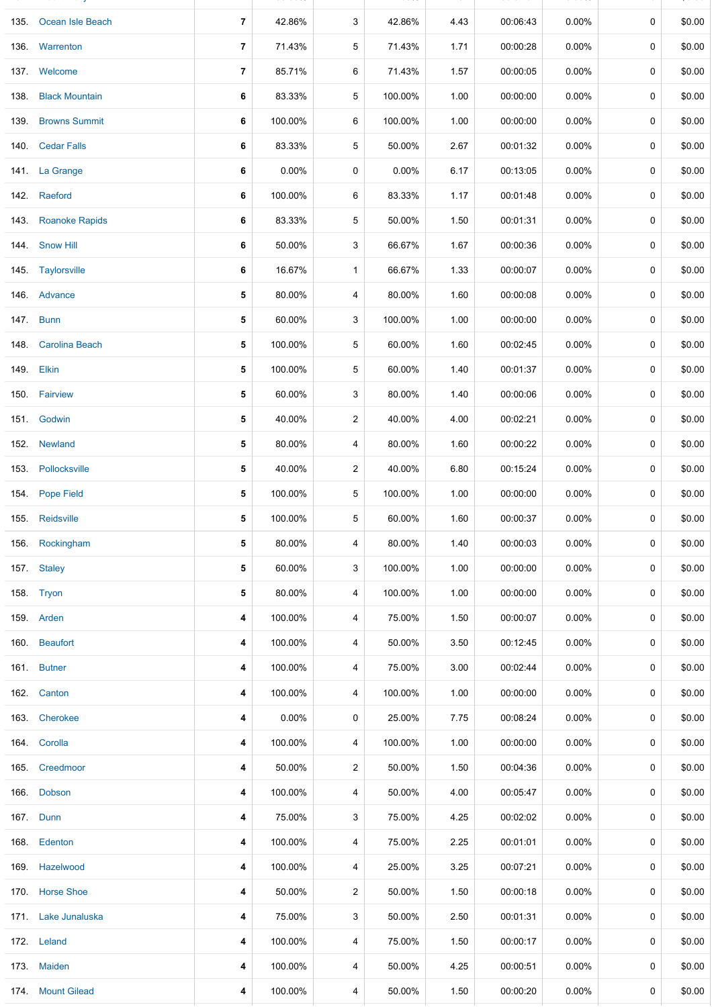| 135. Ocean Isle Beach | 7 | 42.86%  | 3              | 42.86%  | 4.43 | 00:06:43 | $0.00\%$ | 0           | \$0.00 |
|-----------------------|---|---------|----------------|---------|------|----------|----------|-------------|--------|
| 136. Warrenton        | 7 | 71.43%  | 5              | 71.43%  | 1.71 | 00:00:28 | $0.00\%$ | 0           | \$0.00 |
| 137. Welcome          | 7 | 85.71%  | 6              | 71.43%  | 1.57 | 00:00:05 | 0.00%    | 0           | \$0.00 |
| 138. Black Mountain   | 6 | 83.33%  | 5              | 100.00% | 1.00 | 00:00:00 | $0.00\%$ | 0           | \$0.00 |
| 139. Browns Summit    | 6 | 100.00% | 6              | 100.00% | 1.00 | 00:00:00 | $0.00\%$ | 0           | \$0.00 |
| 140. Cedar Falls      | 6 | 83.33%  | 5              | 50.00%  | 2.67 | 00:01:32 | $0.00\%$ | 0           | \$0.00 |
| 141. La Grange        | 6 | 0.00%   | 0              | 0.00%   | 6.17 | 00:13:05 | $0.00\%$ | 0           | \$0.00 |
| 142. Raeford          | 6 | 100.00% | 6              | 83.33%  | 1.17 | 00:01:48 | $0.00\%$ | 0           | \$0.00 |
| 143. Roanoke Rapids   | 6 | 83.33%  | 5              | 50.00%  | 1.50 | 00:01:31 | $0.00\%$ | 0           | \$0.00 |
| 144 Snow Hill         | 6 | 50.00%  | 3              | 66.67%  | 1.67 | 00:00:36 | 0.00%    | 0           | \$0.00 |
| 145. Taylorsville     | 6 | 16.67%  | $\mathbf{1}$   | 66.67%  | 1.33 | 00:00:07 | $0.00\%$ | 0           | \$0.00 |
| 146. Advance          | 5 | 80.00%  | 4              | 80.00%  | 1.60 | 00:00:08 | $0.00\%$ | 0           | \$0.00 |
| 147. Bunn             | 5 | 60.00%  | 3              | 100.00% | 1.00 | 00:00:00 | $0.00\%$ | 0           | \$0.00 |
| 148. Carolina Beach   | 5 | 100.00% | 5              | 60.00%  | 1.60 | 00:02:45 | $0.00\%$ | 0           | \$0.00 |
| 149. Elkin            | 5 | 100.00% | 5              | 60.00%  | 1.40 | 00:01:37 | $0.00\%$ | 0           | \$0.00 |
| 150. Fairview         | 5 | 60.00%  | 3              | 80.00%  | 1.40 | 00:00:06 | 0.00%    | 0           | \$0.00 |
| 151. Godwin           | 5 | 40.00%  | $\overline{2}$ | 40.00%  | 4.00 | 00:02:21 | $0.00\%$ | 0           | \$0.00 |
| 152. Newland          | 5 | 80.00%  | 4              | 80.00%  | 1.60 | 00:00:22 | $0.00\%$ | 0           | \$0.00 |
| 153 Pollocksville     | 5 | 40.00%  | $\overline{2}$ | 40.00%  | 6.80 | 00:15:24 | $0.00\%$ | 0           | \$0.00 |
| 154. Pope Field       | 5 | 100.00% | 5              | 100.00% | 1.00 | 00:00:00 | $0.00\%$ | 0           | \$0.00 |
| 155. Reidsville       | 5 | 100.00% | 5              | 60.00%  | 1.60 | 00:00:37 | $0.00\%$ | $\mathbf 0$ | \$0.00 |
| 156. Rockingham       | 5 | 80.00%  | 4              | 80.00%  | 1.40 | 00:00:03 | $0.00\%$ | 0           | \$0.00 |
| 157. Staley           | 5 | 60.00%  | 3              | 100.00% | 1.00 | 00:00:00 | $0.00\%$ | 0           | \$0.00 |
| 158. Tryon            | 5 | 80.00%  | 4              | 100.00% | 1.00 | 00:00:00 | $0.00\%$ | 0           | \$0.00 |
| 159. Arden            | 4 | 100.00% | 4              | 75.00%  | 1.50 | 00:00:07 | $0.00\%$ | 0           | \$0.00 |
| 160. Beaufort         | 4 | 100.00% | 4              | 50.00%  | 3.50 | 00:12:45 | $0.00\%$ | 0           | \$0.00 |
| 161. Butner           | 4 | 100.00% | 4              | 75.00%  | 3.00 | 00:02:44 | $0.00\%$ | 0           | \$0.00 |
| 162. Canton           | 4 | 100.00% | 4              | 100.00% | 1.00 | 00:00:00 | $0.00\%$ | 0           | \$0.00 |
| 163. Cherokee         | 4 | 0.00%   | 0              | 25.00%  | 7.75 | 00:08:24 | $0.00\%$ | 0           | \$0.00 |
| 164. Corolla          | 4 | 100.00% | 4              | 100.00% | 1.00 | 00:00:00 | $0.00\%$ | 0           | \$0.00 |
| 165. Creedmoor        | 4 | 50.00%  | $\overline{2}$ | 50.00%  | 1.50 | 00:04:36 | $0.00\%$ | 0           | \$0.00 |
| 166. Dobson           | 4 | 100.00% | 4              | 50.00%  | 4.00 | 00:05:47 | $0.00\%$ | 0           | \$0.00 |
| 167. Dunn             | 4 | 75.00%  | 3              | 75.00%  | 4.25 | 00:02:02 | $0.00\%$ | 0           | \$0.00 |
| 168. Edenton          | 4 | 100.00% | 4              | 75.00%  | 2.25 | 00:01:01 | $0.00\%$ | 0           | \$0.00 |
| 169. Hazelwood        | 4 | 100.00% | 4              | 25.00%  | 3.25 | 00:07:21 | $0.00\%$ | 0           | \$0.00 |
| 170 Horse Shoe        | 4 | 50.00%  | $\overline{a}$ | 50.00%  | 1.50 | 00:00:18 | $0.00\%$ | 0           | \$0.00 |
| 171. Lake Junaluska   | 4 | 75.00%  | 3              | 50.00%  | 2.50 | 00:01:31 | $0.00\%$ | 0           | \$0.00 |
| 172. Leland           | 4 | 100.00% | 4              | 75.00%  | 1.50 | 00:00:17 | $0.00\%$ | 0           | \$0.00 |
| 173. Maiden           | 4 | 100.00% | 4              | 50.00%  | 4.25 | 00:00:51 | $0.00\%$ | 0           | \$0.00 |
| 174 Mount Gilead      | 4 | 100.00% | 4              | 50.00%  | 1.50 | 00:00:20 | $0.00\%$ | 0           | \$0.00 |

134. Mount Holly **7** 100.00% 7 42.86% 4.57 00:07:34 0.00% 0 \$0.00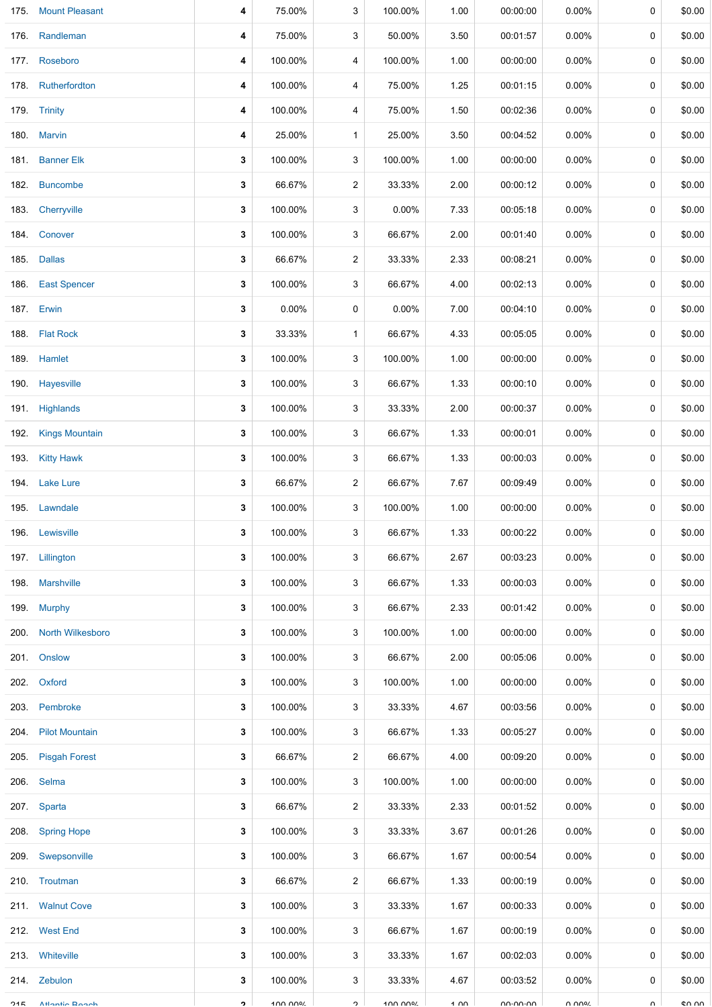| 175. | <b>Mount Pleasant</b> | 4         | 75.00%  | 3                 | 100.00% | 1.00 | 00:00:00                  | 0.00%    | 0      | \$0.00 |
|------|-----------------------|-----------|---------|-------------------|---------|------|---------------------------|----------|--------|--------|
|      | 176. Randleman        | 4         | 75.00%  | 3                 | 50.00%  | 3.50 | 00:01:57                  | $0.00\%$ | 0      | \$0.00 |
|      | 177. Roseboro         | 4         | 100.00% | 4                 | 100.00% | 1.00 | 00:00:00                  | $0.00\%$ | 0      | \$0.00 |
|      | 178. Rutherfordton    | 4         | 100.00% | 4                 | 75.00%  | 1.25 | 00:01:15                  | $0.00\%$ | 0      | \$0.00 |
|      | 179. Trinity          | 4         | 100.00% | 4                 | 75.00%  | 1.50 | 00:02:36                  | $0.00\%$ | 0      | \$0.00 |
|      | 180. Marvin           | 4         | 25.00%  | $\mathbf{1}$      | 25.00%  | 3.50 | 00:04:52                  | $0.00\%$ | 0      | \$0.00 |
|      | 181. Banner Elk       | 3         | 100.00% | 3                 | 100.00% | 1.00 | 00:00:00                  | $0.00\%$ | 0      | \$0.00 |
| 182. | <b>Buncombe</b>       | 3         | 66.67%  | $\overline{2}$    | 33.33%  | 2.00 | 00:00:12                  | $0.00\%$ | 0      | \$0.00 |
| 183. | Cherryville           | 3         | 100.00% | 3                 | 0.00%   | 7.33 | 00:05:18                  | $0.00\%$ | 0      | \$0.00 |
|      | 184. Conover          | 3         | 100.00% | 3                 | 66.67%  | 2.00 | 00:01:40                  | $0.00\%$ | 0      | \$0.00 |
|      | 185. Dallas           | 3         | 66.67%  | $\overline{c}$    | 33.33%  | 2.33 | 00:08:21                  | $0.00\%$ | 0      | \$0.00 |
| 186. | <b>East Spencer</b>   | 3         | 100.00% | 3                 | 66.67%  | 4.00 | 00:02:13                  | $0.00\%$ | 0      | \$0.00 |
|      | 187. Erwin            | 3         | 0.00%   | 0                 | 0.00%   | 7.00 | 00:04:10                  | $0.00\%$ | 0      | \$0.00 |
|      | 188. Flat Rock        | 3         | 33.33%  | $\mathbf{1}$      | 66.67%  | 4.33 | 00:05:05                  | $0.00\%$ | 0      | \$0.00 |
|      | 189. Hamlet           | 3         | 100.00% | 3                 | 100.00% | 1.00 | 00:00:00                  | $0.00\%$ | 0      | \$0.00 |
| 190. | Hayesville            | 3         | 100.00% | 3                 | 66.67%  | 1.33 | 00:00:10                  | $0.00\%$ | 0      | \$0.00 |
|      | 191. Highlands        | 3         | 100.00% | 3                 | 33.33%  | 2.00 | 00:00:37                  | $0.00\%$ | 0      | \$0.00 |
|      | 192. Kings Mountain   | 3         | 100.00% | 3                 | 66.67%  | 1.33 | 00:00:01                  | $0.00\%$ | 0      | \$0.00 |
|      | 193. Kitty Hawk       | 3         | 100.00% | 3                 | 66.67%  | 1.33 | 00:00:03                  | $0.00\%$ | 0      | \$0.00 |
|      | 194. Lake Lure        | 3         | 66.67%  | $\overline{c}$    | 66.67%  | 7.67 | 00:09:49                  | $0.00\%$ | 0      | \$0.00 |
|      | 195. Lawndale         | 3         | 100.00% | 3                 | 100.00% | 1.00 | 00:00:00                  | $0.00\%$ | 0      | \$0.00 |
|      | 196. Lewisville       | 3         | 100.00% | 3                 | 66.67%  | 1.33 | 00:00:22                  | $0.00\%$ | 0      | \$0.00 |
|      | 197. Lillington       | 3         | 100.00% | 3                 | 66.67%  | 2.67 | 00:03:23                  | $0.00\%$ | 0      | \$0.00 |
|      | 198. Marshville       | 3         | 100.00% | 3                 | 66.67%  | 1.33 | 00:00:03                  | $0.00\%$ | 0      | \$0.00 |
| 199. | <b>Murphy</b>         | 3         | 100.00% | 3                 | 66.67%  | 2.33 | 00:01:42                  | $0.00\%$ | 0      | \$0.00 |
|      | 200. North Wilkesboro | 3         | 100.00% | 3                 | 100.00% | 1.00 | 00:00:00                  | $0.00\%$ | 0      | \$0.00 |
| 201. | Onslow                | 3         | 100.00% | 3                 | 66.67%  | 2.00 | 00:05:06                  | $0.00\%$ | 0      | \$0.00 |
|      | 202. Oxford           | 3         | 100.00% | 3                 | 100.00% | 1.00 | 00:00:00                  | $0.00\%$ | 0      | \$0.00 |
| 203. | Pembroke              | 3         | 100.00% | 3                 | 33.33%  | 4.67 | 00:03:56                  | $0.00\%$ | 0      | \$0.00 |
| 204. | <b>Pilot Mountain</b> | 3         | 100.00% | 3                 | 66.67%  | 1.33 | 00:05:27                  | $0.00\%$ | 0      | \$0.00 |
| 205. | <b>Pisgah Forest</b>  | 3         | 66.67%  | $\overline{c}$    | 66.67%  | 4.00 | 00:09:20                  | $0.00\%$ | 0      | \$0.00 |
| 206. | Selma                 | 3         | 100.00% | 3                 | 100.00% | 1.00 | 00:00:00                  | $0.00\%$ | 0      | \$0.00 |
|      | 207. Sparta           | 3         | 66.67%  | $\overline{c}$    | 33.33%  | 2.33 | 00:01:52                  | $0.00\%$ | 0      | \$0.00 |
| 208. | <b>Spring Hope</b>    | 3         | 100.00% | 3                 | 33.33%  | 3.67 | 00:01:26                  | $0.00\%$ | 0      | \$0.00 |
| 209. | Swepsonville          | 3         | 100.00% | 3                 | 66.67%  | 1.67 | 00:00:54                  | $0.00\%$ | 0      | \$0.00 |
|      | 210. Troutman         | 3         | 66.67%  | $\overline{c}$    | 66.67%  | 1.33 | 00:00:19                  | $0.00\%$ | 0      | \$0.00 |
|      | 211. Walnut Cove      | 3         | 100.00% | 3                 | 33.33%  | 1.67 | 00:00:33                  | $0.00\%$ | 0      | \$0.00 |
|      | 212. West End         | 3         | 100.00% | 3                 | 66.67%  | 1.67 | 00:00:19                  | $0.00\%$ | 0      | \$0.00 |
|      | 213. Whiteville       | 3         | 100.00% | 3                 | 33.33%  | 1.67 | 00:02:03                  | $0.00\%$ | 0      | \$0.00 |
|      | 214. Zebulon          | 3         | 100.00% | 3                 | 33.33%  | 4.67 | 00:03:52                  | $0.00\%$ | 0      | \$0.00 |
| つイに  | <b>Atlantin Donah</b> | $\bullet$ | 100 000 | $\mathbf{\Omega}$ | 100 DDD | 1.00 | $n n \cdot n n \cdot n n$ | U UU0V   | $\cap$ | en nn  |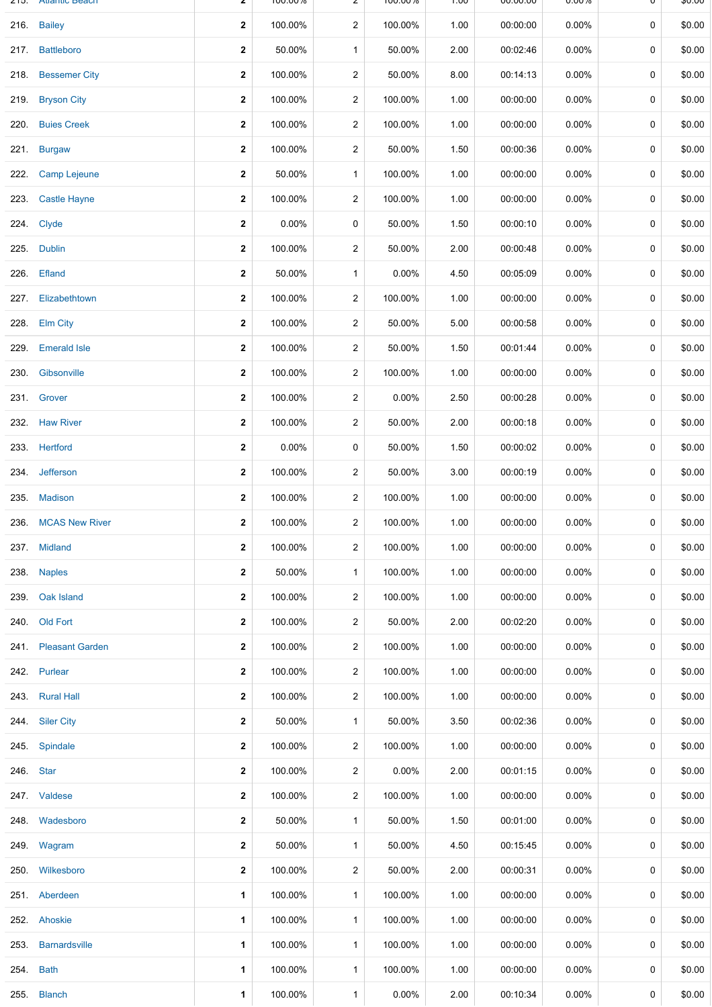| 21 J.     | <b>Aliantic Deach</b> | ۷                       | <b>IUU.UU70</b> |                | <b>100.0070</b> | <b>UV.I</b> | UU.UU.UU | <b>U.UU70</b> | U | QU.UU  |
|-----------|-----------------------|-------------------------|-----------------|----------------|-----------------|-------------|----------|---------------|---|--------|
|           | 216. Bailey           | $\overline{\mathbf{2}}$ | 100.00%         | 2              | 100.00%         | 1.00        | 00:00:00 | $0.00\%$      | 0 | \$0.00 |
|           | 217. Battleboro       | $\mathbf{2}$            | 50.00%          | $\mathbf{1}$   | 50.00%          | 2.00        | 00:02:46 | $0.00\%$      | 0 | \$0.00 |
|           | 218. Bessemer City    | $\mathbf 2$             | 100.00%         | 2              | 50.00%          | 8.00        | 00:14:13 | 0.00%         | 0 | \$0.00 |
| 219.      | <b>Bryson City</b>    | $\mathbf{2}$            | 100.00%         | $\overline{2}$ | 100.00%         | 1.00        | 00:00:00 | $0.00\%$      | 0 | \$0.00 |
| 220.      | <b>Buies Creek</b>    | $\mathbf 2$             | 100.00%         | 2              | 100.00%         | 1.00        | 00:00:00 | $0.00\%$      | 0 | \$0.00 |
|           | 221. Burgaw           | $\mathbf{2}$            | 100.00%         | $\overline{a}$ | 50.00%          | 1.50        | 00:00:36 | $0.00\%$      | 0 | \$0.00 |
| 222.      | <b>Camp Lejeune</b>   | $\mathbf 2$             | 50.00%          | $\mathbf{1}$   | 100.00%         | 1.00        | 00:00:00 | $0.00\%$      | 0 | \$0.00 |
| 223.      | <b>Castle Hayne</b>   | $\overline{\mathbf{2}}$ | 100.00%         | $\overline{a}$ | 100.00%         | 1.00        | 00:00:00 | $0.00\%$      | 0 | \$0.00 |
|           | 224. Clyde            | $\mathbf{2}$            | 0.00%           | 0              | 50.00%          | 1.50        | 00:00:10 | $0.00\%$      | 0 | \$0.00 |
| 225.      | <b>Dublin</b>         | $\mathbf{2}$            | 100.00%         | 2              | 50.00%          | 2.00        | 00:00:48 | $0.00\%$      | 0 | \$0.00 |
| 226.      | Efland                | $\mathbf{2}$            | 50.00%          | $\mathbf{1}$   | 0.00%           | 4.50        | 00:05:09 | $0.00\%$      | 0 | \$0.00 |
| 227.      | Elizabethtown         | $\mathbf{2}$            | 100.00%         | 2              | 100.00%         | 1.00        | 00:00:00 | $0.00\%$      | 0 | \$0.00 |
|           | 228. Elm City         | $\mathbf{2}$            | 100.00%         | $\overline{2}$ | 50.00%          | 5.00        | 00:00:58 | $0.00\%$      | 0 | \$0.00 |
| 229.      | <b>Emerald Isle</b>   | $\mathbf 2$             | 100.00%         | $\overline{a}$ | 50.00%          | 1.50        | 00:01:44 | 0.00%         | 0 | \$0.00 |
| 230.      | Gibsonville           | $\overline{\mathbf{2}}$ | 100.00%         | $\overline{2}$ | 100.00%         | 1.00        | 00:00:00 | $0.00\%$      | 0 | \$0.00 |
|           | 231. Grover           | $\overline{\mathbf{2}}$ | 100.00%         | $\overline{2}$ | 0.00%           | 2.50        | 00:00:28 | $0.00\%$      | 0 | \$0.00 |
|           | 232. Haw River        | $\mathbf{2}$            | 100.00%         | $\overline{2}$ | 50.00%          | 2.00        | 00:00:18 | $0.00\%$      | 0 | \$0.00 |
|           | 233. Hertford         | $\mathbf{2}$            | 0.00%           | 0              | 50.00%          | 1.50        | 00:00:02 | $0.00\%$      | 0 | \$0.00 |
| 234.      | Jefferson             | $\mathbf{2}$            | 100.00%         | 2              | 50.00%          | 3.00        | 00:00:19 | $0.00\%$      | 0 | \$0.00 |
|           | 235. Madison          | 2                       | 100.00%         | 2              | 100.00%         | 1.00        | 00:00:00 | $0.00\%$      | 0 | \$0.00 |
| 236.      | <b>MCAS New River</b> | $\overline{\mathbf{2}}$ | 100.00%         | $\overline{2}$ | 100.00%         | 1.00        | 00:00:00 | $0.00\%$      | 0 | \$0.00 |
|           | 237. Midland          | $\mathbf 2$             | 100.00%         | $\overline{2}$ | 100.00%         | 1.00        | 00:00:00 | $0.00\%$      | 0 | \$0.00 |
| 238.      | <b>Naples</b>         | $\mathbf{2}$            | 50.00%          | $\mathbf{1}$   | 100.00%         | 1.00        | 00:00:00 | $0.00\%$      | 0 | \$0.00 |
| 239.      | Oak Island            | $\mathbf 2$             | 100.00%         | $\overline{2}$ | 100.00%         | 1.00        | 00:00:00 | $0.00\%$      | 0 | \$0.00 |
|           | 240. Old Fort         | $\mathbf{2}$            | 100.00%         | $\overline{2}$ | 50.00%          | 2.00        | 00:02:20 | $0.00\%$      | 0 | \$0.00 |
|           | 241. Pleasant Garden  | $\mathbf 2$             | 100.00%         | $\overline{2}$ | 100.00%         | 1.00        | 00:00:00 | $0.00\%$      | 0 | \$0.00 |
|           | 242. Purlear          | $\overline{\mathbf{2}}$ | 100.00%         | $\overline{2}$ | 100.00%         | 1.00        | 00:00:00 | $0.00\%$      | 0 | \$0.00 |
|           | 243. Rural Hall       | $\mathbf 2$             | 100.00%         | $\overline{2}$ | 100.00%         | 1.00        | 00:00:00 | $0.00\%$      | 0 | \$0.00 |
|           | 244. Siler City       | $\mathbf{2}$            | 50.00%          | $\mathbf{1}$   | 50.00%          | 3.50        | 00:02:36 | $0.00\%$      | 0 | \$0.00 |
|           | 245. Spindale         | $\overline{\mathbf{2}}$ | 100.00%         | $\overline{2}$ | 100.00%         | 1.00        | 00:00:00 | $0.00\%$      | 0 | \$0.00 |
| 246. Star |                       | $\mathbf{2}$            | 100.00%         | $\overline{2}$ | 0.00%           | 2.00        | 00:01:15 | $0.00\%$      | 0 | \$0.00 |
|           | 247. Valdese          | $\mathbf{2}$            | 100.00%         | $\overline{2}$ | 100.00%         | 1.00        | 00:00:00 | $0.00\%$      | 0 | \$0.00 |
|           | 248. Wadesboro        | 2                       | 50.00%          | $\mathbf{1}$   | 50.00%          | 1.50        | 00:01:00 | $0.00\%$      | 0 | \$0.00 |
|           | 249. Wagram           | $\mathbf{2}$            | 50.00%          | $\mathbf{1}$   | 50.00%          | 4.50        | 00:15:45 | $0.00\%$      | 0 | \$0.00 |
|           | 250. Wilkesboro       | 2                       | 100.00%         | 2              | 50.00%          | 2.00        | 00:00:31 | $0.00\%$      | 0 | \$0.00 |
|           | 251. Aberdeen         | $\mathbf{1}$            | 100.00%         | $\mathbf{1}$   | 100.00%         | 1.00        | 00:00:00 | $0.00\%$      | 0 | \$0.00 |
|           | 252. Ahoskie          | 1                       | 100.00%         | $\mathbf{1}$   | 100.00%         | 1.00        | 00:00:00 | $0.00\%$      | 0 | \$0.00 |
| 253.      | <b>Barnardsville</b>  | $\mathbf{1}$            | 100.00%         | $\mathbf{1}$   | 100.00%         | 1.00        | 00:00:00 | $0.00\%$      | 0 | \$0.00 |
| 254.      | <b>Bath</b>           | 1                       | 100.00%         | $\mathbf{1}$   | 100.00%         | 1.00        | 00:00:00 | $0.00\%$      | 0 | \$0.00 |
| 255.      | <b>Blanch</b>         | 1                       | 100.00%         | $\mathbf 1$    | 0.00%           | 2.00        | 00:10:34 | $0.00\%$      | 0 | \$0.00 |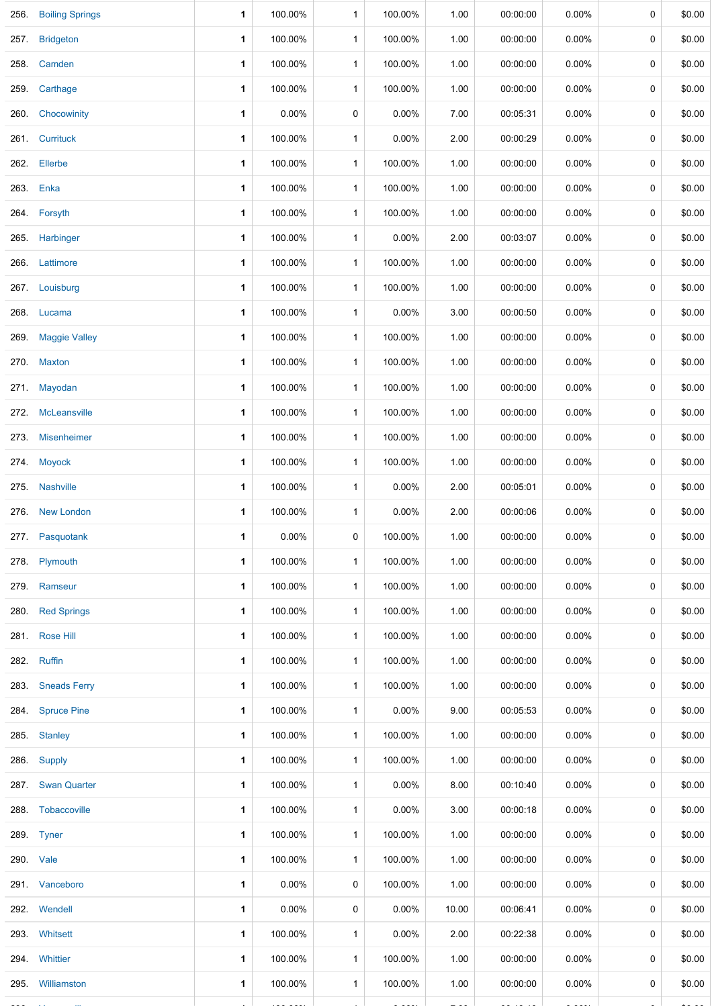|      | 256. Boiling Springs | 1           | 100.00%  | $\mathbf{1}$ | 100.00%  | 1.00  | 00:00:00 | 0.00%    | 0           | \$0.00 |
|------|----------------------|-------------|----------|--------------|----------|-------|----------|----------|-------------|--------|
|      | 257. Bridgeton       | 1           | 100.00%  | $\mathbf{1}$ | 100.00%  | 1.00  | 00:00:00 | 0.00%    | 0           | \$0.00 |
| 258. | Camden               | 1           | 100.00%  | $\mathbf{1}$ | 100.00%  | 1.00  | 00:00:00 | $0.00\%$ | 0           | \$0.00 |
|      | 259. Carthage        | 1           | 100.00%  | $\mathbf{1}$ | 100.00%  | 1.00  | 00:00:00 | 0.00%    | 0           | \$0.00 |
| 260. | Chocowinity          | 1           | $0.00\%$ | 0            | 0.00%    | 7.00  | 00:05:31 | $0.00\%$ | 0           | \$0.00 |
|      | 261. Currituck       | 1.          | 100.00%  | $\mathbf{1}$ | 0.00%    | 2.00  | 00:00:29 | 0.00%    | 0           | \$0.00 |
| 262. | Ellerbe              | 1           | 100.00%  | $\mathbf{1}$ | 100.00%  | 1.00  | 00:00:00 | $0.00\%$ | 0           | \$0.00 |
|      | 263. Enka            | 1           | 100.00%  | $\mathbf{1}$ | 100.00%  | 1.00  | 00:00:00 | $0.00\%$ | 0           | \$0.00 |
|      | 264. Forsyth         | 1           | 100.00%  | $\mathbf{1}$ | 100.00%  | 1.00  | 00:00:00 | 0.00%    | 0           | \$0.00 |
|      | 265. Harbinger       | 1           | 100.00%  | $\mathbf{1}$ | 0.00%    | 2.00  | 00:03:07 | 0.00%    | 0           | \$0.00 |
| 266. | Lattimore            | 1           | 100.00%  | $\mathbf{1}$ | 100.00%  | 1.00  | 00:00:00 | 0.00%    | 0           | \$0.00 |
|      | 267. Louisburg       | 1           | 100.00%  | $\mathbf{1}$ | 100.00%  | 1.00  | 00:00:00 | 0.00%    | 0           | \$0.00 |
|      | 268. Lucama          | 1           | 100.00%  | $\mathbf{1}$ | 0.00%    | 3.00  | 00:00:50 | 0.00%    | 0           | \$0.00 |
|      | 269. Maggie Valley   | 1           | 100.00%  | $\mathbf 1$  | 100.00%  | 1.00  | 00:00:00 | 0.00%    | 0           | \$0.00 |
|      | 270. Maxton          | 1           | 100.00%  | $\mathbf{1}$ | 100.00%  | 1.00  | 00:00:00 | 0.00%    | 0           | \$0.00 |
|      | 271. Mayodan         | 1           | 100.00%  | $\mathbf{1}$ | 100.00%  | 1.00  | 00:00:00 | 0.00%    | 0           | \$0.00 |
|      | 272. McLeansville    | 1           | 100.00%  | $\mathbf{1}$ | 100.00%  | 1.00  | 00:00:00 | 0.00%    | 0           | \$0.00 |
|      | 273. Misenheimer     | 1           | 100.00%  | $\mathbf{1}$ | 100.00%  | 1.00  | 00:00:00 | $0.00\%$ | 0           | \$0.00 |
|      | 274. Moyock          | 1           | 100.00%  | $\mathbf{1}$ | 100.00%  | 1.00  | 00:00:00 | $0.00\%$ | 0           | \$0.00 |
|      | 275. Nashville       | 1           | 100.00%  | $\mathbf{1}$ | 0.00%    | 2.00  | 00:05:01 | $0.00\%$ | 0           | \$0.00 |
|      | 276. New London      | 1           | 100.00%  | $\mathbf{1}$ | 0.00%    | 2.00  | 00:00:06 | 0.00%    | 0           | \$0.00 |
|      | 277. Pasquotank      | 1           | 0.00%    | 0            | 100.00%  | 1.00  | 00:00:00 | 0.00%    | 0           | \$0.00 |
|      | 278. Plymouth        | 1           | 100.00%  | $\mathbf{1}$ | 100.00%  | 1.00  | 00:00:00 | $0.00\%$ | 0           | \$0.00 |
|      | 279. Ramseur         | 1           | 100.00%  | $\mathbf{1}$ | 100.00%  | 1.00  | 00:00:00 | $0.00\%$ | 0           | \$0.00 |
|      | 280. Red Springs     | 1           | 100.00%  | $\mathbf{1}$ | 100.00%  | 1.00  | 00:00:00 | $0.00\%$ | 0           | \$0.00 |
|      | 281. Rose Hill       | 1           | 100.00%  | $\mathbf{1}$ | 100.00%  | 1.00  | 00:00:00 | 0.00%    | 0           | \$0.00 |
|      | 282. Ruffin          | 1           | 100.00%  | $\mathbf{1}$ | 100.00%  | 1.00  | 00:00:00 | $0.00\%$ | 0           | \$0.00 |
|      | 283. Sneads Ferry    | 1           | 100.00%  | $\mathbf{1}$ | 100.00%  | 1.00  | 00:00:00 | $0.00\%$ | 0           | \$0.00 |
|      | 284. Spruce Pine     | 1           | 100.00%  | $\mathbf{1}$ | 0.00%    | 9.00  | 00:05:53 | $0.00\%$ | 0           | \$0.00 |
|      | 285. Stanley         | 1           | 100.00%  | $\mathbf{1}$ | 100.00%  | 1.00  | 00:00:00 | $0.00\%$ | $\mathbf 0$ | \$0.00 |
|      | 286. Supply          | $\mathbf 1$ | 100.00%  | $\mathbf{1}$ | 100.00%  | 1.00  | 00:00:00 | $0.00\%$ | 0           | \$0.00 |
|      | 287. Swan Quarter    | 1           | 100.00%  | $\mathbf{1}$ | 0.00%    | 8.00  | 00:10:40 | $0.00\%$ | $\mathbf 0$ | \$0.00 |
|      | 288. Tobaccoville    | 1           | 100.00%  | $\mathbf{1}$ | 0.00%    | 3.00  | 00:00:18 | $0.00\%$ | 0           | \$0.00 |
|      | 289. Tyner           | 1           | 100.00%  | $\mathbf{1}$ | 100.00%  | 1.00  | 00:00:00 | $0.00\%$ | $\mathbf 0$ | \$0.00 |
|      | 290. Vale            | $\mathbf 1$ | 100.00%  | $\mathbf{1}$ | 100.00%  | 1.00  | 00:00:00 | $0.00\%$ | 0           | \$0.00 |
|      | 291. Vanceboro       | 1           | $0.00\%$ | 0            | 100.00%  | 1.00  | 00:00:00 | $0.00\%$ | 0           | \$0.00 |
|      | 292. Wendell         | 1           | $0.00\%$ | 0            | 0.00%    | 10.00 | 00:06:41 | $0.00\%$ | 0           | \$0.00 |
|      | 293. Whitsett        | 1           | 100.00%  | $\mathbf{1}$ | $0.00\%$ | 2.00  | 00:22:38 | $0.00\%$ | 0           | \$0.00 |
|      | 294. Whittier        | 1           | 100.00%  | $\mathbf{1}$ | 100.00%  | 1.00  | 00:00:00 | $0.00\%$ | 0           | \$0.00 |
|      | 295. Williamston     | 1           | 100.00%  | $\mathbf{1}$ | 100.00%  | 1.00  | 00:00:00 | $0.00\%$ | 0           | \$0.00 |
|      |                      |             |          |              |          |       |          |          |             |        |